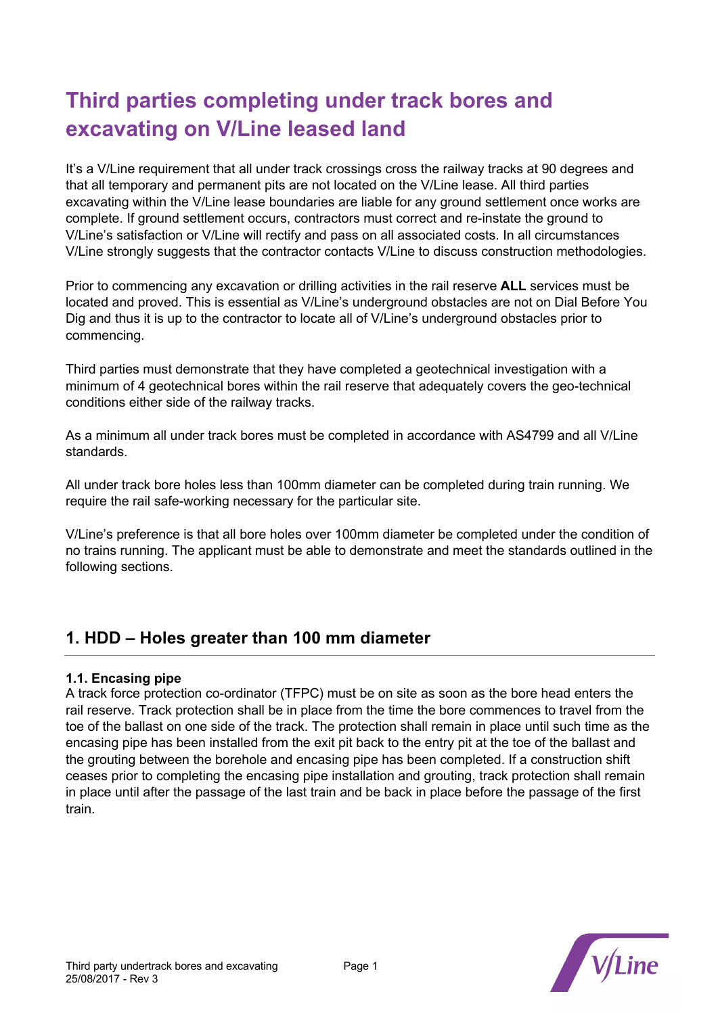# **Third parties completing under track bores and excavating on V/Line leased land**

It's a V/Line requirement that all under track crossings cross the railway tracks at 90 degrees and that all temporary and permanent pits are not located on the V/Line lease. All third parties excavating within the V/Line lease boundaries are liable for any ground settlement once works are complete. If ground settlement occurs, contractors must correct and re-instate the ground to V/Line's satisfaction or V/Line will rectify and pass on all associated costs. In all circumstances V/Line strongly suggests that the contractor contacts V/Line to discuss construction methodologies.

Prior to commencing any excavation or drilling activities in the rail reserve **ALL** services must be located and proved. This is essential as V/Line's underground obstacles are not on Dial Before You Dig and thus it is up to the contractor to locate all of V/Line's underground obstacles prior to commencing.

Third parties must demonstrate that they have completed a geotechnical investigation with a minimum of 4 geotechnical bores within the rail reserve that adequately covers the geo-technical conditions either side of the railway tracks.

As a minimum all under track bores must be completed in accordance with AS4799 and all V/Line standards.

All under track bore holes less than 100mm diameter can be completed during train running. We require the rail safe-working necessary for the particular site.

V/Line's preference is that all bore holes over 100mm diameter be completed under the condition of no trains running. The applicant must be able to demonstrate and meet the standards outlined in the following sections.

## **1. HDD – Holes greater than 100 mm diameter**

## **1.1. Encasing pipe**

A track force protection co-ordinator (TFPC) must be on site as soon as the bore head enters the rail reserve. Track protection shall be in place from the time the bore commences to travel from the toe of the ballast on one side of the track. The protection shall remain in place until such time as the encasing pipe has been installed from the exit pit back to the entry pit at the toe of the ballast and the grouting between the borehole and encasing pipe has been completed. If a construction shift ceases prior to completing the encasing pipe installation and grouting, track protection shall remain in place until after the passage of the last train and be back in place before the passage of the first train.

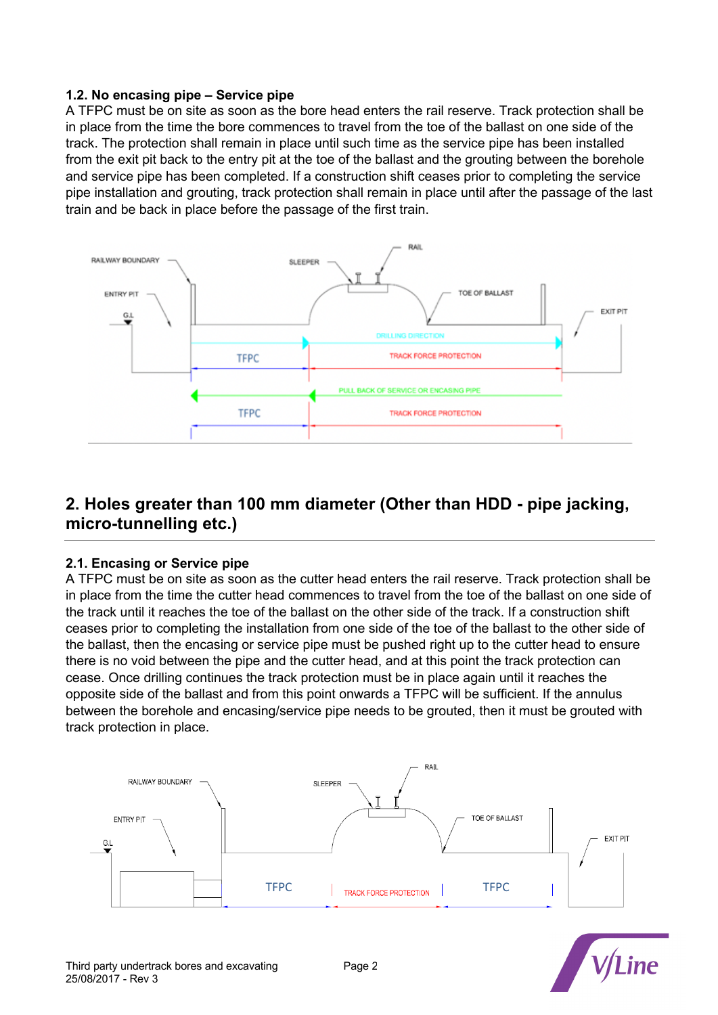#### **1.2. No encasing pipe – Service pipe**

A TFPC must be on site as soon as the bore head enters the rail reserve. Track protection shall be in place from the time the bore commences to travel from the toe of the ballast on one side of the track. The protection shall remain in place until such time as the service pipe has been installed from the exit pit back to the entry pit at the toe of the ballast and the grouting between the borehole and service pipe has been completed. If a construction shift ceases prior to completing the service pipe installation and grouting, track protection shall remain in place until after the passage of the last train and be back in place before the passage of the first train.



## **2. Holes greater than 100 mm diameter (Other than HDD - pipe jacking, micro-tunnelling etc.)**

## **2.1. Encasing or Service pipe**

A TFPC must be on site as soon as the cutter head enters the rail reserve. Track protection shall be in place from the time the cutter head commences to travel from the toe of the ballast on one side of the track until it reaches the toe of the ballast on the other side of the track. If a construction shift ceases prior to completing the installation from one side of the toe of the ballast to the other side of the ballast, then the encasing or service pipe must be pushed right up to the cutter head to ensure there is no void between the pipe and the cutter head, and at this point the track protection can cease. Once drilling continues the track protection must be in place again until it reaches the opposite side of the ballast and from this point onwards a TFPC will be sufficient. If the annulus between the borehole and encasing/service pipe needs to be grouted, then it must be grouted with track protection in place.